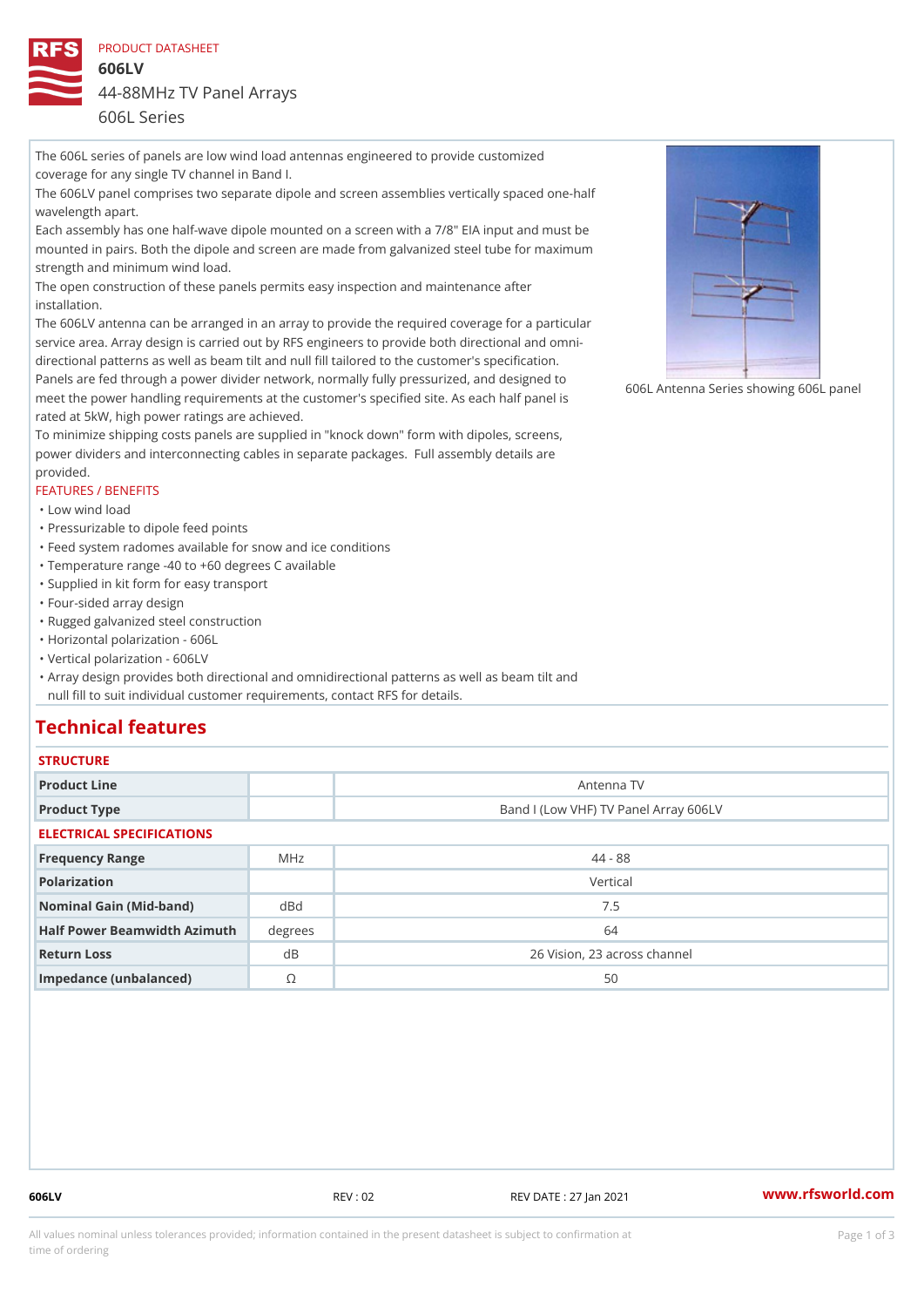PRODUCT DATASHEET

606LV 44-88MHz TV Panel Arrays 606L Series

The 606L series of panels are low wind load antennas engineered to provide customized coverage for any single TV channel in Band I. The 606LV panel comprises two separate dipole and screen assemblies vertically spaced one-half wavelength apart. Each assembly has one half-wave dipole mounted on a screen with a 7/8" EIA input and must be mounted in pairs. Both the dipole and screen are made from galvanized steel tube for maximum strength and minimum wind load. The open construction of these panels permits easy inspection and maintenance after installation. The 606LV antenna can be arranged in an array to provide the required coverage for a particular service area. Array design is carried out by RFS engineers to provide both directional and omni directional patterns as well as beam tilt and null fill tailored to the customer's specification. Panels are fed through a power divider network, normally fully pressurized, and designed to meet the power handling requirements at the customer's specified site. As each half panel is 606 meet the power handling requirements at the customer's specified site. As each half panel is rated at 5kW, high power ratings are achieved. To minimize shipping costs panels are supplied in "knock down" form with dipoles, screens, power dividers and interconnecting cables in separate packages. Full assembly details are provided. FEATURES / BENEFITS "Low wind load

"Pressurizable to dipole feed points

"Feed system radomes available for snow and ice conditions

"Temperature range -40 to +60 degrees C available

"Supplied in kit form for easy transport

"Four-sided array design

"Rugged galvanized steel construction

"Horizontal polarization - 606L

"Vertical polarization - 606LV

Array design provides both directional and omnidirectional patterns as well as beam tilt and " null fill to suit individual customer requirements, contact RFS for details.

## Technical features

| <b>STRUCTURE</b> |  |  |  |
|------------------|--|--|--|
|                  |  |  |  |

| Product Line                      |                | Antenna TV                            |  |  |  |
|-----------------------------------|----------------|---------------------------------------|--|--|--|
| Product Type                      |                | Band I (Low VHF) TV Panel Array 606LV |  |  |  |
| ELECTRICAL SPECIFICATIONS         |                |                                       |  |  |  |
| Frequency Range                   | MHz            | $44 - 88$                             |  |  |  |
| Polarization                      |                | Vertical                              |  |  |  |
| Nominal Gain (Mid-band)           | dBd            | 7.5                                   |  |  |  |
| Half Power Beamwidth Azimhaughees |                | 64                                    |  |  |  |
| Return Loss                       | d B            | 26 Vision, 23 across channel          |  |  |  |
| Impedance (unbalanced)            | $\circledcirc$ | 50                                    |  |  |  |

606LV REV : 02 REV DATE : 27 Jan 2021 [www.](https://www.rfsworld.com)rfsworld.com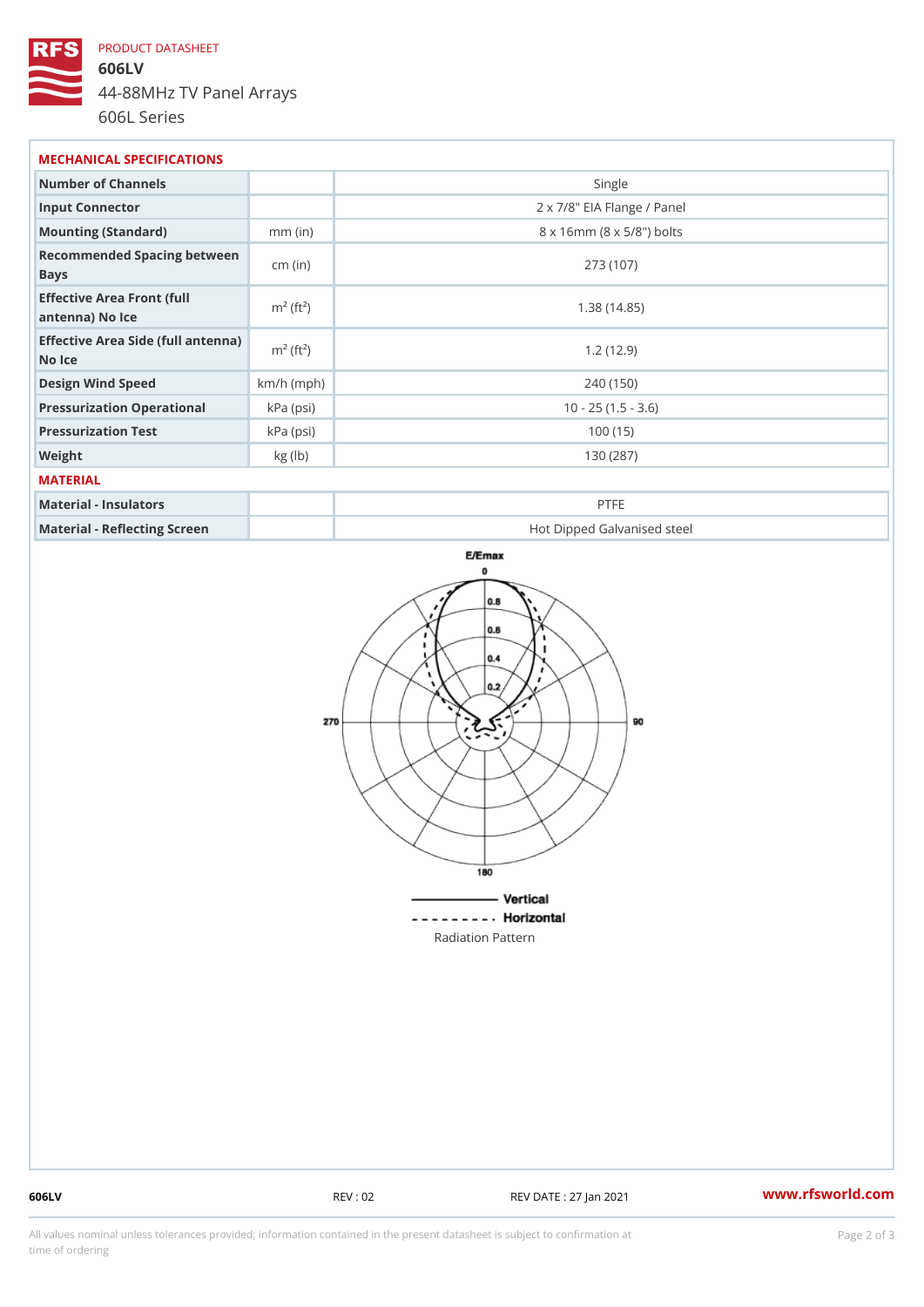## PRODUCT DATASHEET

606LV 44-88MHz TV Panel Arrays 606L Series

MECHANICAL SPECIFICATIONS Number of Channels Number of Channels Number of Single Input Connector 2 x 7/8" EIA Flange / Panel Mounting (Standard) mm (in) 8 x 16mm (8 x 5/8") bolts Recommended Spacing between<br>
cm (in) Bays cm (in) 273 (107) Effective Area Front (full m<sup>2</sup> (ft<sup>2</sup> antenna) No Ice m² (ft²) 1.38 (14.85) Effective Area Side (full antenna) No Ice  $1.2(12.9)$ Design Wind Speed km/h (mph) 240 (150) Pressurization OperationakPa (psi)  $(1.5 - 3.6)$ Pressurization Test | kPa (psi) 100 (15) Weight kg (lb) kg (lb) 130 (287) MATERIAL Material - Insulators PTFE Material - Reflecting Screen Hot Dipped Galvanised steel

Radiation Pattern

606LV REV : 02 REV DATE : 27 Jan 2021 [www.](https://www.rfsworld.com)rfsworld.com